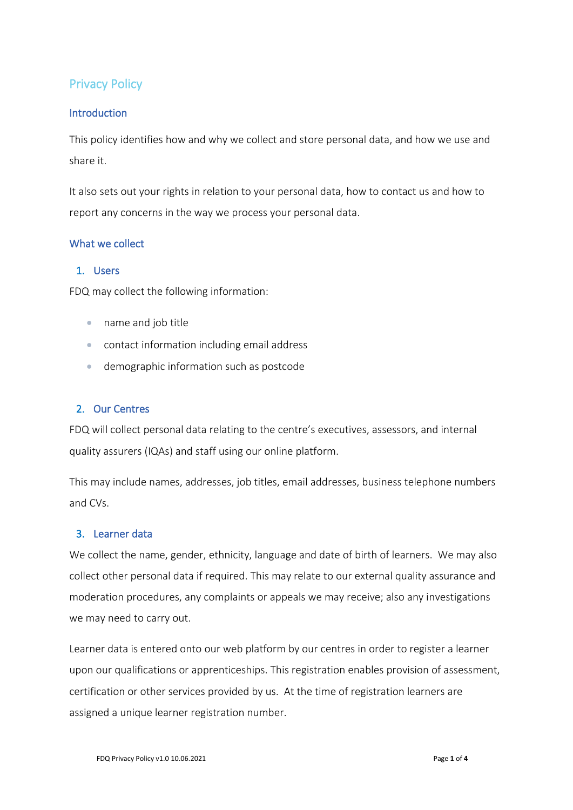# Privacy Policy

### **Introduction**

This policy identifies how and why we collect and store personal data, and how we use and share it.

It also sets out your rights in relation to your personal data, how to contact us and how to report any concerns in the way we process your personal data.

### What we collect

# 1. Users

FDQ may collect the following information:

- name and job title
- contact information including email address
- demographic information such as postcode

# 2. Our Centres

FDQ will collect personal data relating to the centre's executives, assessors, and internal quality assurers (IQAs) and staff using our online platform.

This may include names, addresses, job titles, email addresses, business telephone numbers and CVs.

### 3. Learner data

We collect the name, gender, ethnicity, language and date of birth of learners. We may also collect other personal data if required. This may relate to our external quality assurance and moderation procedures, any complaints or appeals we may receive; also any investigations we may need to carry out.

Learner data is entered onto our web platform by our centres in order to register a learner upon our qualifications or apprenticeships. This registration enables provision of assessment, certification or other services provided by us. At the time of registration learners are assigned a unique learner registration number.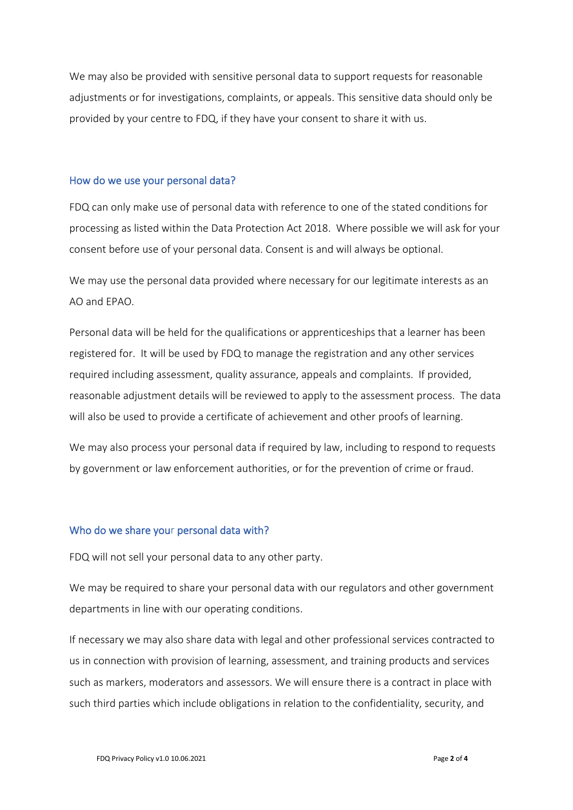We may also be provided with sensitive personal data to support requests for reasonable adjustments or for investigations, complaints, or appeals. This sensitive data should only be provided by your centre to FDQ, if they have your consent to share it with us.

#### How do we use your personal data?

FDQ can only make use of personal data with reference to one of the stated conditions for processing as listed within the Data Protection Act 2018. Where possible we will ask for your consent before use of your personal data. Consent is and will always be optional.

We may use the personal data provided where necessary for our legitimate interests as an AO and EPAO.

Personal data will be held for the qualifications or apprenticeships that a learner has been registered for. It will be used by FDQ to manage the registration and any other services required including assessment, quality assurance, appeals and complaints. If provided, reasonable adjustment details will be reviewed to apply to the assessment process. The data will also be used to provide a certificate of achievement and other proofs of learning.

We may also process your personal data if required by law, including to respond to requests by government or law enforcement authorities, or for the prevention of crime or fraud.

#### Who do we share your personal data with?

FDQ will not sell your personal data to any other party.

We may be required to share your personal data with our regulators and other government departments in line with our operating conditions.

If necessary we may also share data with legal and other professional services contracted to us in connection with provision of learning, assessment, and training products and services such as markers, moderators and assessors. We will ensure there is a contract in place with such third parties which include obligations in relation to the confidentiality, security, and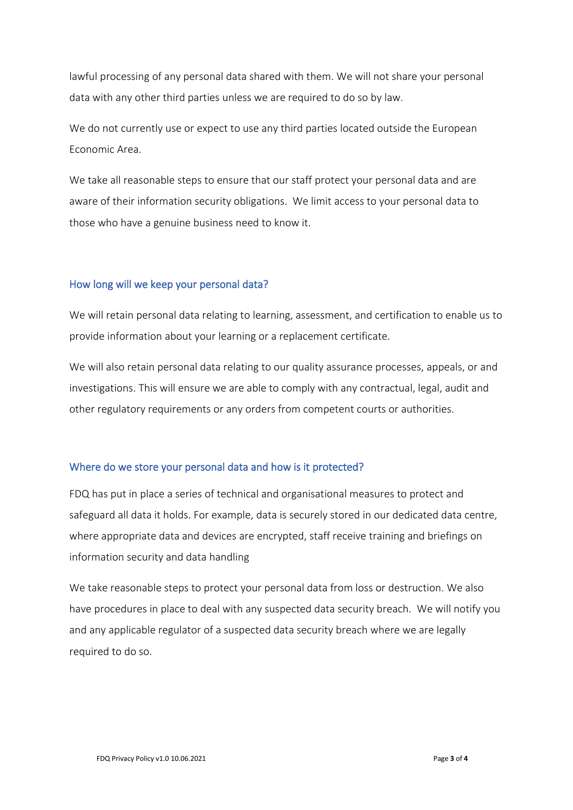lawful processing of any personal data shared with them. We will not share your personal data with any other third parties unless we are required to do so by law.

We do not currently use or expect to use any third parties located outside the European Economic Area.

We take all reasonable steps to ensure that our staff protect your personal data and are aware of their information security obligations. We limit access to your personal data to those who have a genuine business need to know it.

#### How long will we keep your personal data?

We will retain personal data relating to learning, assessment, and certification to enable us to provide information about your learning or a replacement certificate.

We will also retain personal data relating to our quality assurance processes, appeals, or and investigations. This will ensure we are able to comply with any contractual, legal, audit and other regulatory requirements or any orders from competent courts or authorities.

#### Where do we store your personal data and how is it protected?

FDQ has put in place a series of technical and organisational measures to protect and safeguard all data it holds. For example, data is securely stored in our dedicated data centre, where appropriate data and devices are encrypted, staff receive training and briefings on information security and data handling

We take reasonable steps to protect your personal data from loss or destruction. We also have procedures in place to deal with any suspected data security breach. We will notify you and any applicable regulator of a suspected data security breach where we are legally required to do so.